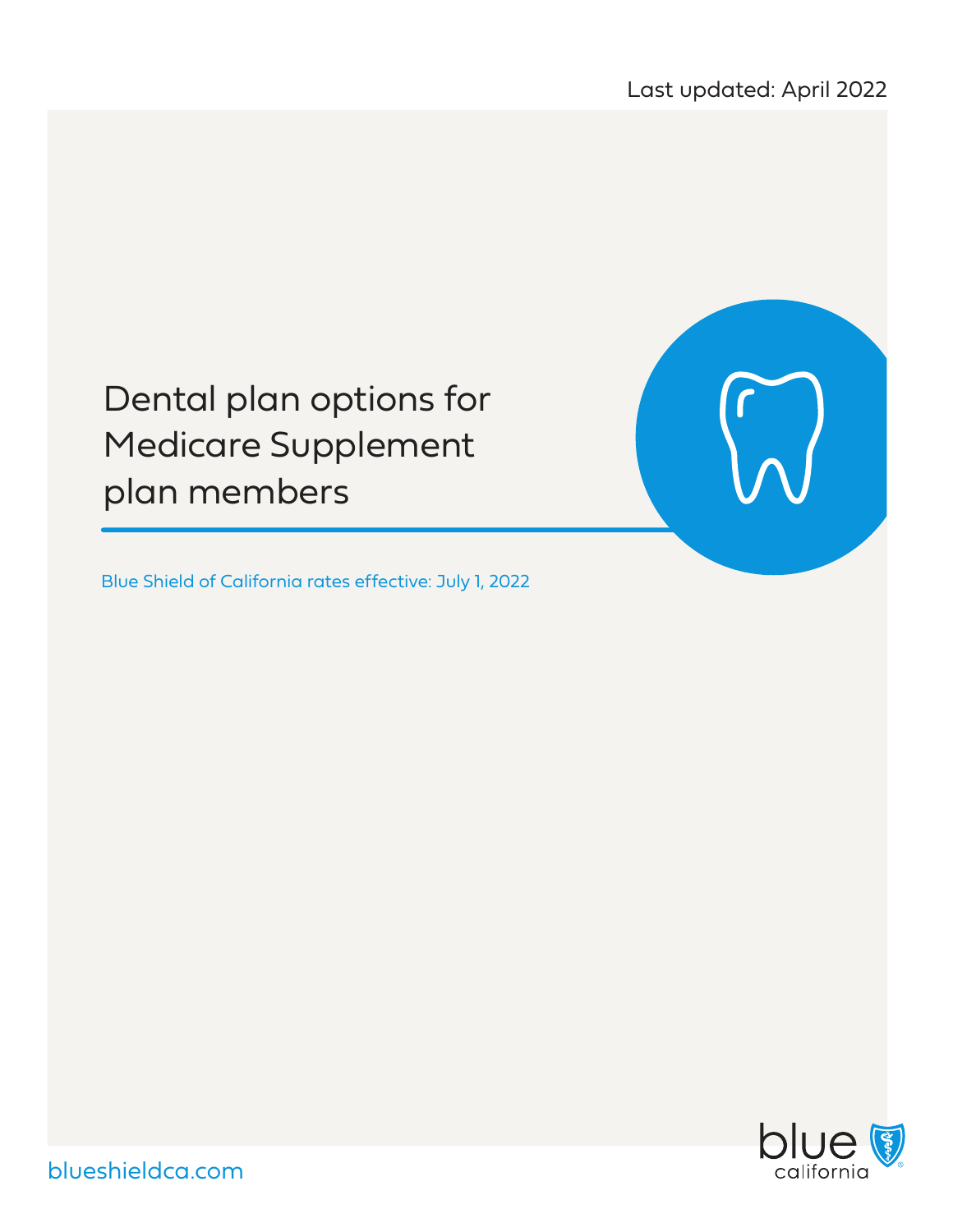# Dental plan options for Medicare Supplement plan members

Blue Shield of California rates effective: July 1, 2022



blueshieldca.com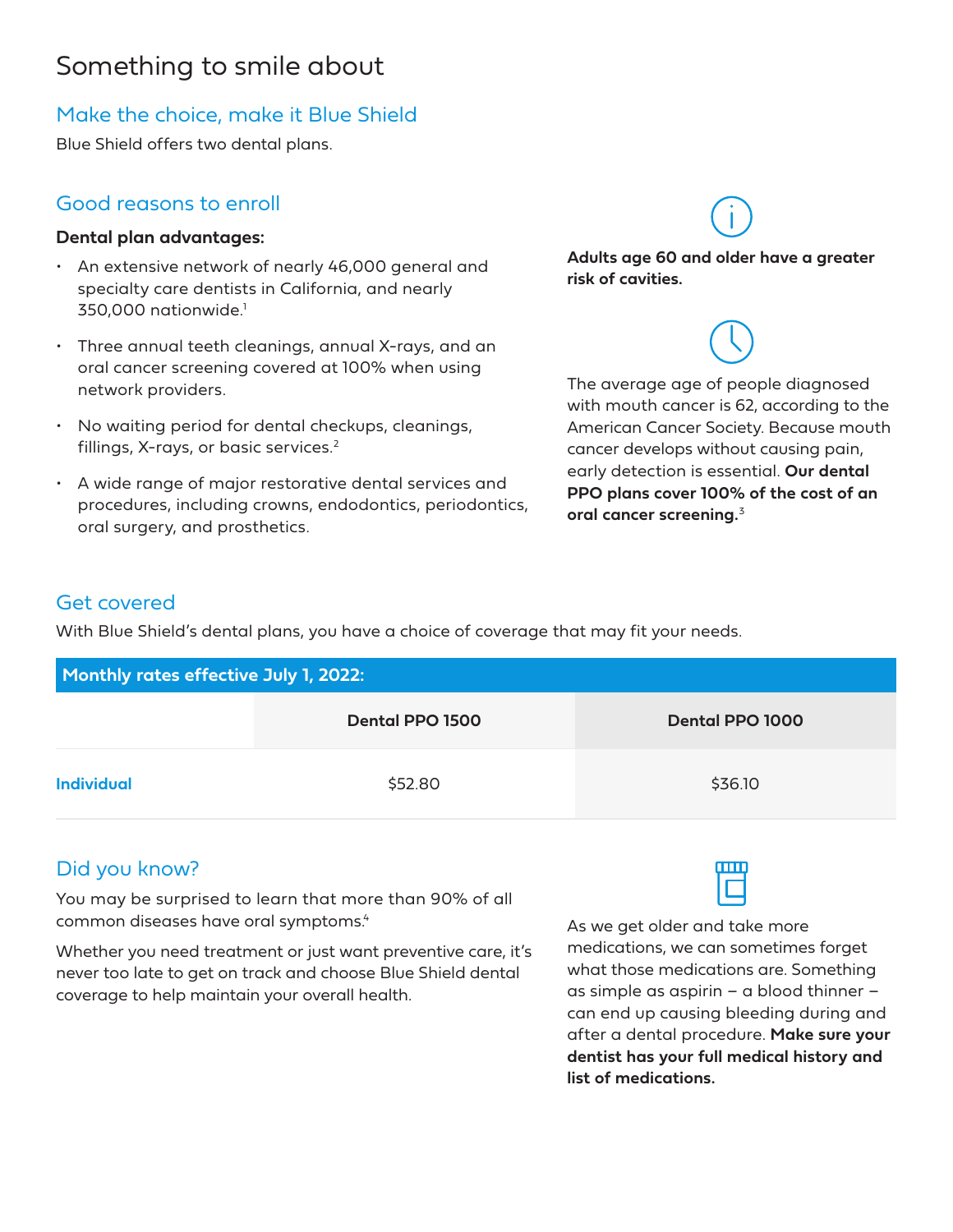## Something to smile about

## Make the choice, make it Blue Shield

Blue Shield offers two dental plans.

## Good reasons to enroll

#### **Dental plan advantages:**

- An extensive network of nearly 46,000 general and specialty care dentists in California, and nearly 350,000 nationwide.<sup>1</sup>
- Three annual teeth cleanings, annual X-rays, and an oral cancer screening covered at 100% when using network providers.
- No waiting period for dental checkups, cleanings, fillings, X-rays, or basic services.<sup>2</sup>
- A wide range of major restorative dental services and procedures, including crowns, endodontics, periodontics, oral surgery, and prosthetics.

**Adults age 60 and older have a greater risk of cavities.**

The average age of people diagnosed

#### with mouth cancer is 62, according to the American Cancer Society. Because mouth cancer develops without causing pain, early detection is essential. **Our dental PPO plans cover 100% of the cost of an oral cancer screening.**<sup>3</sup>

#### Get covered

With Blue Shield's dental plans, you have a choice of coverage that may fit your needs.

| <b>Monthly rates effective July 1, 2022:</b> |                 |                 |  |  |
|----------------------------------------------|-----------------|-----------------|--|--|
|                                              | Dental PPO 1500 | Dental PPO 1000 |  |  |
| <b>Individual</b>                            | \$52.80         | \$36.10         |  |  |

## Did you know?

You may be surprised to learn that more than 90% of all common diseases have oral symptoms.<sup>4</sup>

Whether you need treatment or just want preventive care, it's never too late to get on track and choose Blue Shield dental coverage to help maintain your overall health.



As we get older and take more medications, we can sometimes forget what those medications are. Something as simple as aspirin – a blood thinner – can end up causing bleeding during and after a dental procedure. **Make sure your dentist has your full medical history and list of medications.**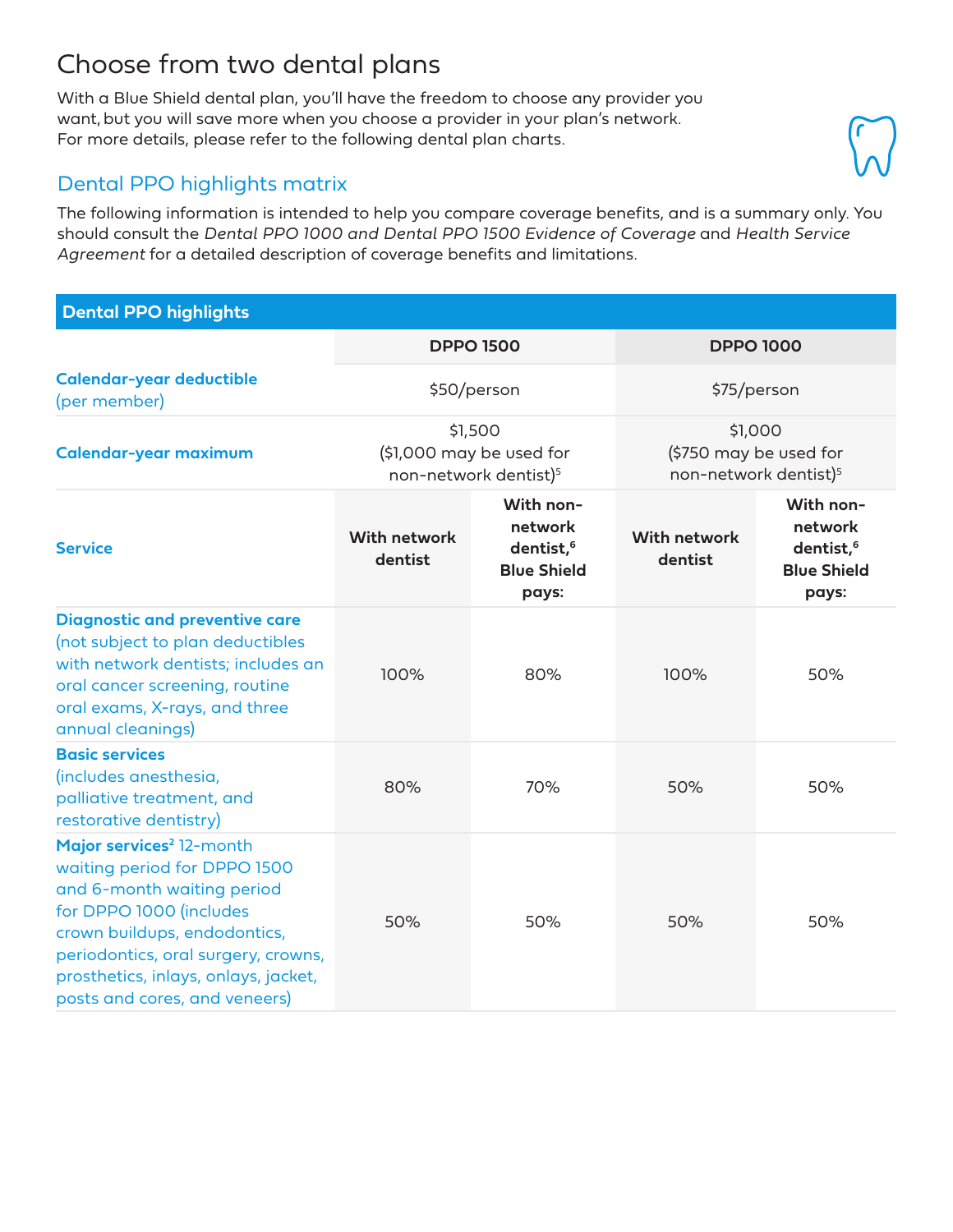# Choose from two dental plans

With a Blue Shield dental plan, you'll have the freedom to choose any provider you want, but you will save more when you choose a provider in your plan's network. For more details, please refer to the following dental plan charts.

### Dental PPO highlights matrix

The following information is intended to help you compare coverage benefits, and is a summary only. You should consult the *Dental PPO 1000 and Dental PPO 1500 Evidence of Coverage* and *Health Service Agreement* for a detailed description of coverage benefits and limitations.

#### **Dental PPO highlights**

|                                                                                                                                                                                                                                                                               | <b>DPPO 1500</b><br>\$50/person                                          |                                                                              | <b>DPPO 1000</b><br>\$75/person                                        |                                                                              |
|-------------------------------------------------------------------------------------------------------------------------------------------------------------------------------------------------------------------------------------------------------------------------------|--------------------------------------------------------------------------|------------------------------------------------------------------------------|------------------------------------------------------------------------|------------------------------------------------------------------------------|
| <b>Calendar-year deductible</b><br>(per member)                                                                                                                                                                                                                               |                                                                          |                                                                              |                                                                        |                                                                              |
| Calendar-year maximum                                                                                                                                                                                                                                                         | \$1,500<br>(\$1,000 may be used for<br>non-network dentist) <sup>5</sup> |                                                                              | \$1,000<br>(\$750 may be used for<br>non-network dentist) <sup>5</sup> |                                                                              |
| <b>Service</b>                                                                                                                                                                                                                                                                | <b>With network</b><br>dentist                                           | With non-<br>network<br>dentist, <sup>6</sup><br><b>Blue Shield</b><br>pays: | <b>With network</b><br>dentist                                         | With non-<br>network<br>dentist, <sup>6</sup><br><b>Blue Shield</b><br>pays: |
| <b>Diagnostic and preventive care</b><br>(not subject to plan deductibles<br>with network dentists; includes an<br>oral cancer screening, routine<br>oral exams, X-rays, and three<br>annual cleanings)                                                                       | 100%                                                                     | 80%                                                                          | 100%                                                                   | 50%                                                                          |
| <b>Basic services</b><br>(includes anesthesia,<br>palliative treatment, and<br>restorative dentistry)                                                                                                                                                                         | 80%                                                                      | 70%                                                                          | 50%                                                                    | 50%                                                                          |
| Major services <sup>2</sup> 12-month<br>waiting period for DPPO 1500<br>and 6-month waiting period<br>for DPPO 1000 (includes<br>crown buildups, endodontics,<br>periodontics, oral surgery, crowns,<br>prosthetics, inlays, onlays, jacket,<br>posts and cores, and veneers) | 50%                                                                      | 50%                                                                          | 50%                                                                    | 50%                                                                          |

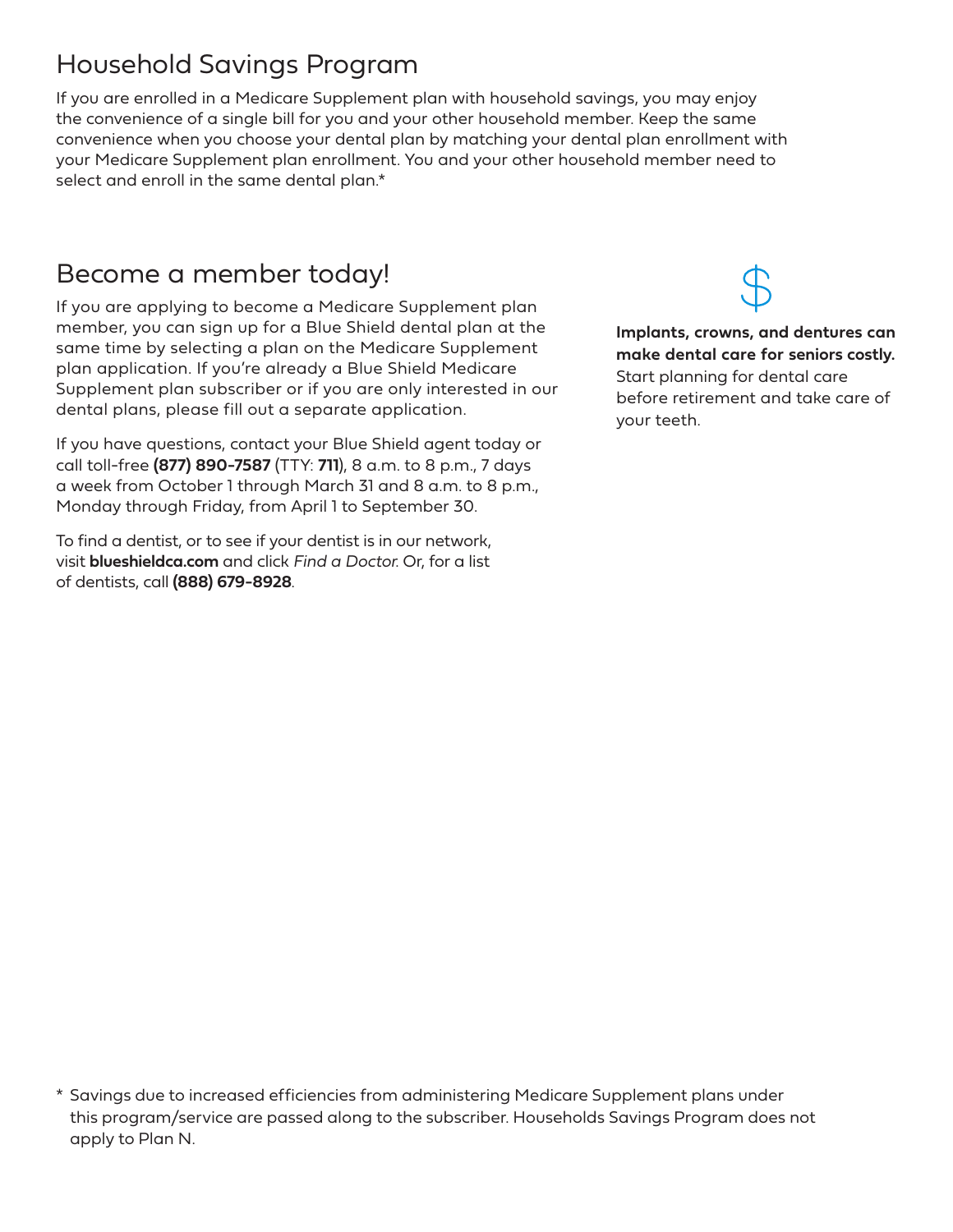# Household Savings Program

If you are enrolled in a Medicare Supplement plan with household savings, you may enjoy the convenience of a single bill for you and your other household member. Keep the same convenience when you choose your dental plan by matching your dental plan enrollment with your Medicare Supplement plan enrollment. You and your other household member need to select and enroll in the same dental plan.\*

## Become a member today!

If you are applying to become a Medicare Supplement plan member, you can sign up for a Blue Shield dental plan at the same time by selecting a plan on the Medicare Supplement plan application. If you're already a Blue Shield Medicare Supplement plan subscriber or if you are only interested in our dental plans, please fill out a separate application.

If you have questions, contact your Blue Shield agent today or call toll-free **(877) 890-7587** (TTY: **711**), 8 a.m. to 8 p.m., 7 days a week from October 1 through March 31 and 8 a.m. to 8 p.m., Monday through Friday, from April 1 to September 30.

To find a dentist, or to see if your dentist is in our network, visit **blueshieldca.com** and click *Find a Doctor*. Or, for a list of dentists, call **(888) 679-8928**.

\* Savings due to increased efficiencies from administering Medicare Supplement plans under this program/service are passed along to the subscriber. Households Savings Program does not apply to Plan N.

**Implants, crowns, and dentures can make dental care for seniors costly.**  Start planning for dental care before retirement and take care of your teeth.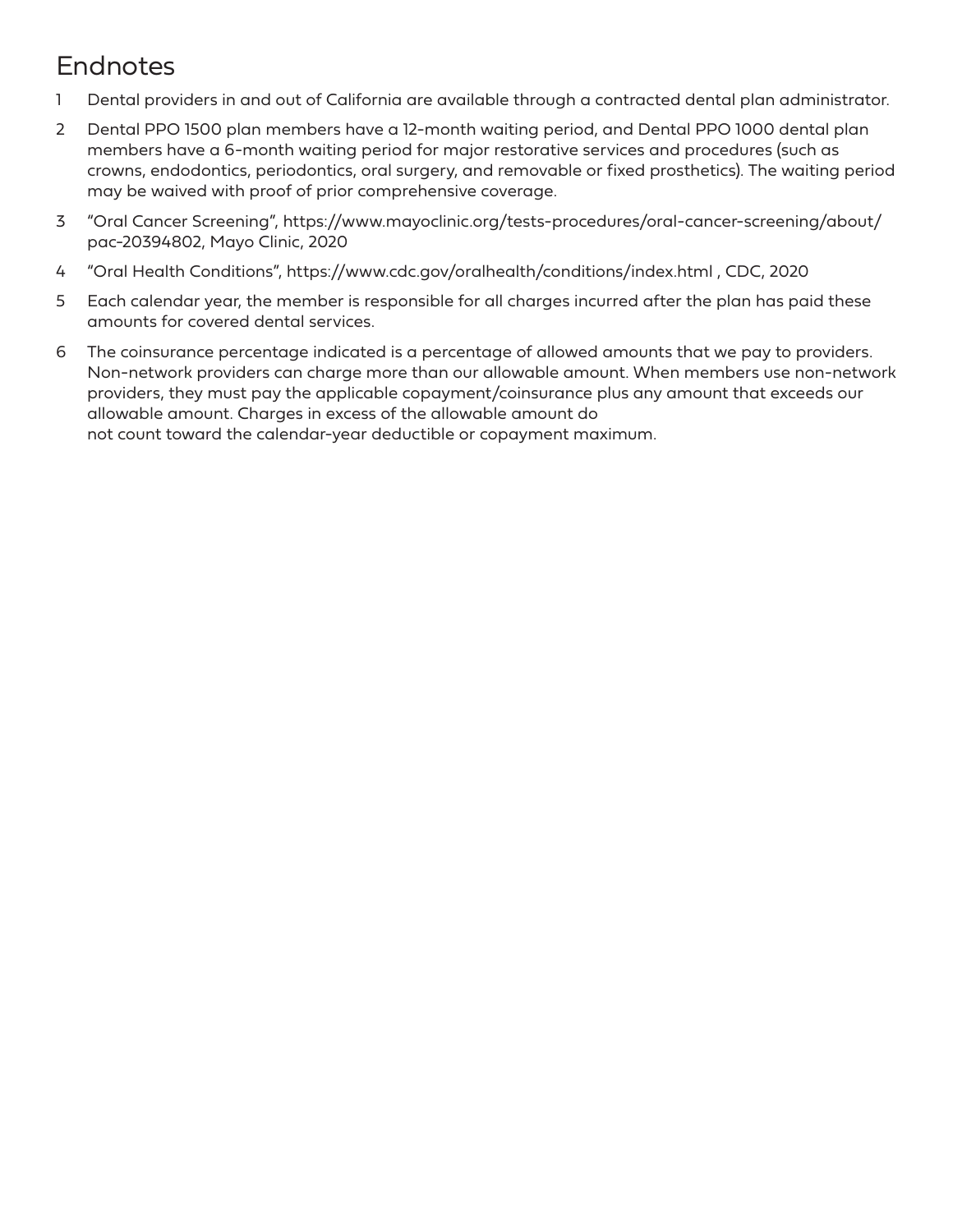# Endnotes

- 1 Dental providers in and out of California are available through a contracted dental plan administrator.
- 2 Dental PPO 1500 plan members have a 12-month waiting period, and Dental PPO 1000 dental plan members have a 6-month waiting period for major restorative services and procedures (such as crowns, endodontics, periodontics, oral surgery, and removable or fixed prosthetics). The waiting period may be waived with proof of prior comprehensive coverage.
- 3 "Oral Cancer Screening", https://www.mayoclinic.org/tests-procedures/oral-cancer-screening/about/ pac-20394802, Mayo Clinic, 2020
- 4 "Oral Health Conditions", https://www.cdc.gov/oralhealth/conditions/index.html , CDC, 2020
- 5 Each calendar year, the member is responsible for all charges incurred after the plan has paid these amounts for covered dental services.
- 6 The coinsurance percentage indicated is a percentage of allowed amounts that we pay to providers. Non-network providers can charge more than our allowable amount. When members use non-network providers, they must pay the applicable copayment/coinsurance plus any amount that exceeds our allowable amount. Charges in excess of the allowable amount do not count toward the calendar-year deductible or copayment maximum.